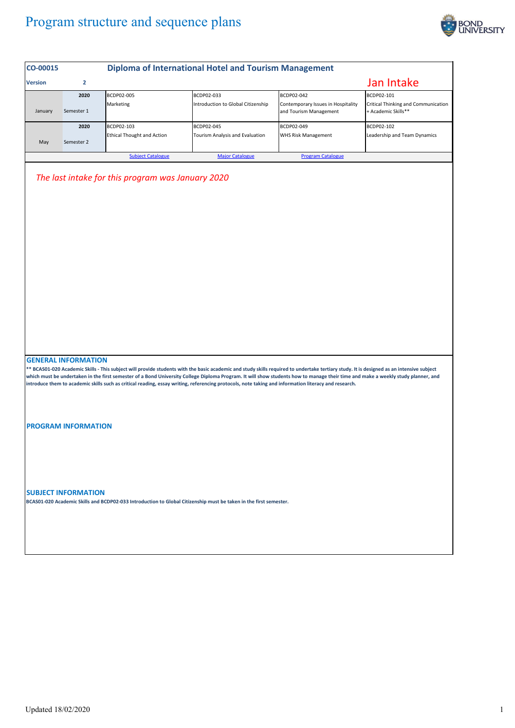## Program structure and sequence plans



| CO-00015                                                                                                                                                                                                                                                                                                                                                                                                                                                                                                                             |                            |                                                 | <b>Diploma of International Hotel and Tourism Management</b>                                                      |                                                                            |                                                                          |  |  |
|--------------------------------------------------------------------------------------------------------------------------------------------------------------------------------------------------------------------------------------------------------------------------------------------------------------------------------------------------------------------------------------------------------------------------------------------------------------------------------------------------------------------------------------|----------------------------|-------------------------------------------------|-------------------------------------------------------------------------------------------------------------------|----------------------------------------------------------------------------|--------------------------------------------------------------------------|--|--|
| <b>Version</b>                                                                                                                                                                                                                                                                                                                                                                                                                                                                                                                       | $\overline{2}$             |                                                 |                                                                                                                   |                                                                            | Jan Intake                                                               |  |  |
| January                                                                                                                                                                                                                                                                                                                                                                                                                                                                                                                              | 2020<br>Semester 1         | BCDP02-005<br>Marketing                         | BCDP02-033<br>Introduction to Global Citizenship                                                                  | BCDP02-042<br>Contemporary Issues in Hospitality<br>and Tourism Management | BCDP02-101<br>Critical Thinking and Communication<br>+ Academic Skills** |  |  |
| May                                                                                                                                                                                                                                                                                                                                                                                                                                                                                                                                  | 2020<br>Semester 2         | BCDP02-103<br><b>Ethical Thought and Action</b> | BCDP02-045<br>Tourism Analysis and Evaluation                                                                     | BCDP02-049<br>WHS Risk Management                                          | BCDP02-102<br>Leadership and Team Dynamics                               |  |  |
|                                                                                                                                                                                                                                                                                                                                                                                                                                                                                                                                      |                            | <b>Subject Catalogue</b>                        | <b>Major Catalogue</b>                                                                                            | <b>Program Catalogue</b>                                                   |                                                                          |  |  |
|                                                                                                                                                                                                                                                                                                                                                                                                                                                                                                                                      |                            |                                                 |                                                                                                                   |                                                                            |                                                                          |  |  |
|                                                                                                                                                                                                                                                                                                                                                                                                                                                                                                                                      | <b>GENERAL INFORMATION</b> |                                                 |                                                                                                                   |                                                                            |                                                                          |  |  |
| ** BCAS01-020 Academic Skills - This subject will provide students with the basic academic and study skills required to undertake tertiary study. It is designed as an intensive subject<br>which must be undertaken in the first semester of a Bond University College Diploma Program. It will show students how to manage their time and make a weekly study planner, and<br>introduce them to academic skills such as critical reading, essay writing, referencing protocols, note taking and information literacy and research. |                            |                                                 |                                                                                                                   |                                                                            |                                                                          |  |  |
|                                                                                                                                                                                                                                                                                                                                                                                                                                                                                                                                      | <b>PROGRAM INFORMATION</b> |                                                 |                                                                                                                   |                                                                            |                                                                          |  |  |
|                                                                                                                                                                                                                                                                                                                                                                                                                                                                                                                                      | <b>SUBJECT INFORMATION</b> |                                                 | BCAS01-020 Academic Skills and BCDP02-033 Introduction to Global Citizenship must be taken in the first semester. |                                                                            |                                                                          |  |  |